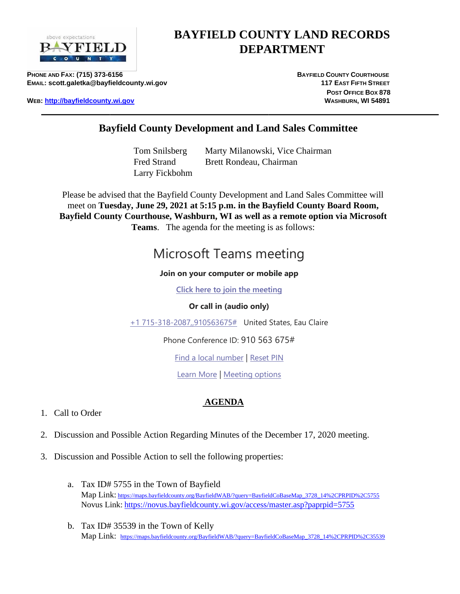

## **BAYFIELD COUNTY LAND RECORDS DEPARTMENT**

**PHONE AND FAX: (715) 373-6156 BAYFIELD COUNTY COURTHOUSE <b>BAYFIELD** COUNTY COURTHOUSE **E**MAIL: scott.galetka@bayfieldcounty.wi.gov **117 EAST**  117 EAST FIFTH STREET

**WEB**: http://bayfieldcounty.wi.go[v](http://bayfieldcounty.org/) **WIDDEN COUNTY CONTROLLY ASSESS WASHBURN, WI** 54891

**POST OFFICE BOX 878** 

## **Bayfield County Development and Land Sales Committee**

Tom Snilsberg Marty Milanowski, Vice Chairman Fred Strand Brett Rondeau, Chairman Larry Fickbohm

Please be advised that the Bayfield County Development and Land Sales Committee will meet on **Tuesday, June 29, 2021 at 5:15 p.m. in the Bayfield County Board Room, Bayfield County Courthouse, Washburn, WI as well as a remote option via Microsoft Teams**. The agenda for the meeting is as follows:

# Microsoft Teams meeting

#### **Join on your computer or mobile app**

**[Click here to join the meeting](https://teams.microsoft.com/l/meetup-join/19%3ameeting_MTRiODYxOWItZThmOS00YjI5LTkwMTAtZGE4MWU3NzMyMWMx%40thread.v2/0?context=%7b%22Tid%22%3a%22145ec30e-5769-40e2-8a4c-fe09ea9581bf%22%2c%22Oid%22%3a%220f7c29d4-f4d5-4b7c-91a1-ac881fcf7176%22%7d)**

#### **Or call in (audio only)**

[+1 715-318-2087,,910563675#](tel:+17153182087,,910563675# ) United States, Eau Claire

Phone Conference ID: 910 563 675#

[Find a local number](https://dialin.teams.microsoft.com/9b4f001a-1165-4cc7-9eb9-73599e1f4a29?id=910563675) | [Reset PIN](https://mysettings.lync.com/pstnconferencing)

[Learn More](https://aka.ms/JoinTeamsMeeting) | [Meeting options](https://teams.microsoft.com/meetingOptions/?organizerId=0f7c29d4-f4d5-4b7c-91a1-ac881fcf7176&tenantId=145ec30e-5769-40e2-8a4c-fe09ea9581bf&threadId=19_meeting_MTRiODYxOWItZThmOS00YjI5LTkwMTAtZGE4MWU3NzMyMWMx@thread.v2&messageId=0&language=en-US)

### **AGENDA**

- 1. Call to Order
- 2. Discussion and Possible Action Regarding Minutes of the December 17, 2020 meeting.
- 3. Discussion and Possible Action to sell the following properties:
	- a. Tax ID# 5755 in the Town of Bayfield Map Link: [https://maps.bayfieldcounty.org/BayfieldWAB/?query=BayfieldCoBaseMap\\_3728\\_14%2CPRPID%2C5755](https://maps.bayfieldcounty.org/BayfieldWAB/?query=BayfieldCoBaseMap_3728_14%2CPRPID%2C5755) Novus Link: <https://novus.bayfieldcounty.wi.gov/access/master.asp?paprpid=5755>
	- b. Tax ID# 35539 in the Town of Kelly Map Link: [https://maps.bayfieldcounty.org/BayfieldWAB/?query=BayfieldCoBaseMap\\_3728\\_14%2CPRPID%2C35539](https://maps.bayfieldcounty.org/BayfieldWAB/?query=BayfieldCoBaseMap_3728_14%2CPRPID%2C35539)